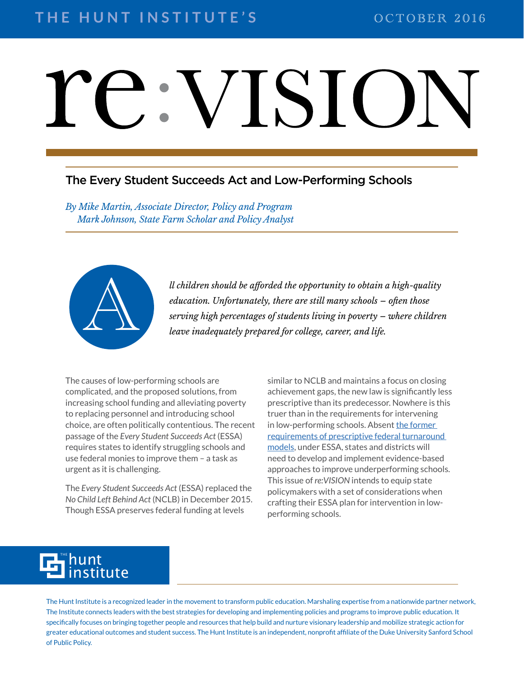## VISIO

### The Every Student Succeeds Act and Low-Performing Schools

*By Mike Martin, Associate Director, Policy and Program Mark Johnson, State Farm Scholar and Policy Analyst*



*ll children should be afforded the opportunity to obtain a high-quality education. Unfortunately, there are still many schools – often those serving high percentages of students living in poverty – where children* leave i *education. Unfortunately, there are still many schools – often those serving high percentages of students living in poverty – where children leave inadequately prepared for college, career, and life.* 

The causes of low-performing schools are complicated, and the proposed solutions, from increasing school funding and alleviating poverty to replacing personnel and introducing school choice, are often politically contentious. The recent passage of the *Every Student Succeeds Act* (ESSA) requires states to identify struggling schools and use federal monies to improve them – a task as urgent as it is challenging.

The *Every Student Succeeds Act* (ESSA) replaced the *No Child Left Behind Act* (NCLB) in December 2015. Though ESSA preserves federal funding at levels

similar to NCLB and maintains a focus on closing achievement gaps, the new law is significantly less prescriptive than its predecessor. Nowhere is this truer than in the requirements for intervening in low-performing schools. Absent the former [requirements of prescriptive federal turnaround](https://drive.google.com/file/d/0B93ANmm73EkcZ2I4SVdjNzAwbUk/view)  [models,](https://drive.google.com/file/d/0B93ANmm73EkcZ2I4SVdjNzAwbUk/view) under ESSA, states and districts will need to develop and implement evidence-based approaches to improve underperforming schools. This issue of *re:VISION* intends to equip state policymakers with a set of considerations when crafting their ESSA plan for intervention in lowperforming schools.

#### hunt titute THE

The Hunt Institute is a recognized leader in the movement to transform public education. Marshaling expertise from a nationwide partner network, The Institute connects leaders with the best strategies for developing and implementing policies and programs to improve public education. It specifically focuses on bringing together people and resources that help build and nurture visionary leadership and mobilize strategic action for greater educational outcomes and student success. The Hunt Institute is an independent, nonprofit affiliate of the Duke University Sanford School of Public Policy.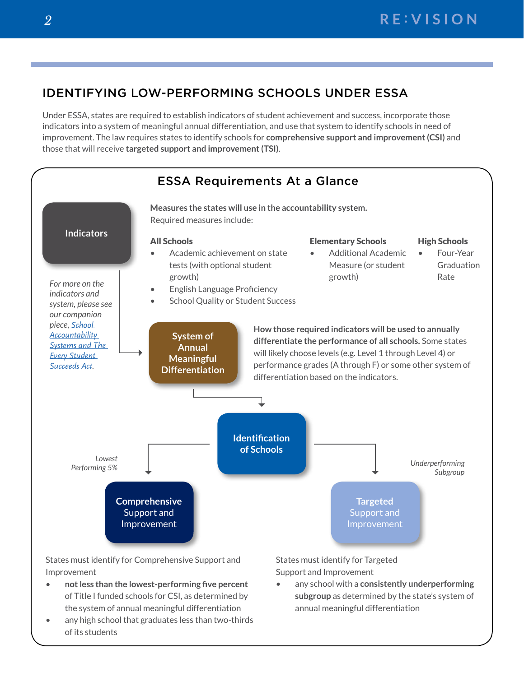## IDENTIFYING LOW-PERFORMING SCHOOLS UNDER ESSA

Under ESSA, states are required to establish indicators of student achievement and success, incorporate those indicators into a system of meaningful annual differentiation, and use that system to identify schools in need of improvement. The law requires states to identify schools for **comprehensive support and improvement (CSI)** and those that will receive **targeted support and improvement (TSI)**.



- **not less than the lowest-performing five percent** of Title I funded schools for CSI, as determined by the system of annual meaningful differentiation
- any high school that graduates less than two-thirds of its students

Support and Improvement

• any school with a **consistently underperforming subgroup** as determined by the state's system of annual meaningful differentiation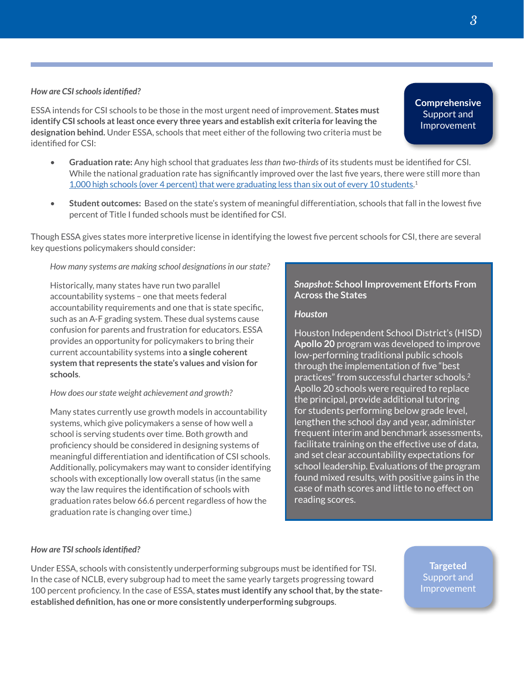#### *How are CSI schools identified?*

ESSA intends for CSI schools to be those in the most urgent need of improvement. **States must identify CSI schools at least once every three years and establish exit criteria for leaving the designation behind.** Under ESSA, schools that meet either of the following two criteria must be identified for CSI:

- **Graduation rate:** Any high school that graduates *less than two-thirds* of its students must be identified for CSI. While the national graduation rate has significantly improved over the last five years, there were still more than [1,000 high schools \(over 4 percent\) that were graduating less than six out of every 10 students.](http://all4ed.org/reports-factsheets/noaccident/) 1
- **Student outcomes:** Based on the state's system of meaningful differentiation, schools that fall in the lowest five percent of Title I funded schools must be identified for CSI.

Though ESSA gives states more interpretive license in identifying the lowest five percent schools for CSI, there are several key questions policymakers should consider:

*How many systems are making school designations in our state?*

Historically, many states have run two parallel accountability systems – one that meets federal accountability requirements and one that is state specific, such as an A-F grading system. These dual systems cause confusion for parents and frustration for educators. ESSA provides an opportunity for policymakers to bring their current accountability systems into **a single coherent system that represents the state's values and vision for schools**.

#### *How does our state weight achievement and growth?*

Many states currently use growth models in accountability systems, which give policymakers a sense of how well a school is serving students over time. Both growth and proficiency should be considered in designing systems of meaningful differentiation and identification of CSI schools. Additionally, policymakers may want to consider identifying schools with exceptionally low overall status (in the same way the law requires the identification of schools with graduation rates below 66.6 percent regardless of how the graduation rate is changing over time.)

#### *Snapshot:* **School Improvement Efforts From Across the States**

#### *Houston*

Houston Independent School District's (HISD) **Apollo 20** program was developed to improve low-performing traditional public schools through the implementation of five "best practices" from successful charter schools. $^2$ Apollo 20 schools were required to replace the principal, provide additional tutoring for students performing below grade level, lengthen the school day and year, administer frequent interim and benchmark assessments, facilitate training on the effective use of data, and set clear accountability expectations for school leadership. Evaluations of the program found mixed results, with positive gains in the case of math scores and little to no effect on reading scores.

#### *How are TSI schools identified?*

Under ESSA, schools with consistently underperforming subgroups must be identified for TSI. In the case of NCLB, every subgroup had to meet the same yearly targets progressing toward 100 percent proficiency. In the case of ESSA, **states must identify any school that, by the stateestablished definition, has one or more consistently underperforming subgroups**.

**Comprehensive**  Support and Improvement

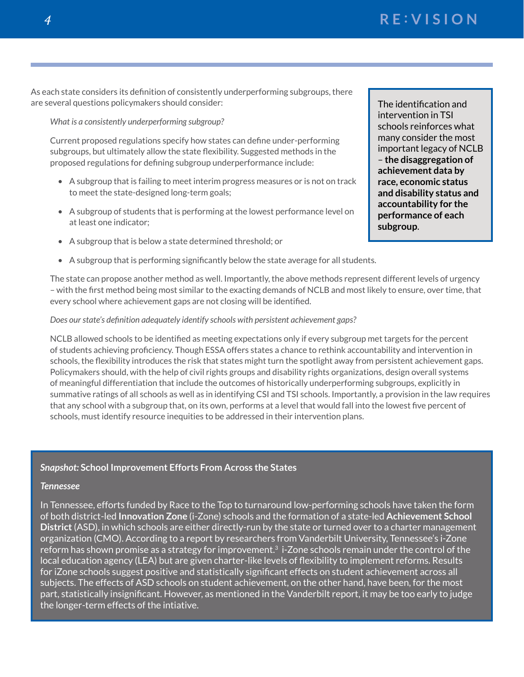*<sup>4</sup>* **R E : VISION**

As each state considers its definition of consistently underperforming subgroups, there are several questions policymakers should consider:

*What is a consistently underperforming subgroup?* 

Current proposed regulations specify how states can define under-performing subgroups, but ultimately allow the state flexibility. Suggested methods in the proposed regulations for defining subgroup underperformance include:

- A subgroup that is failing to meet interim progress measures or is not on track to meet the state-designed long-term goals;
- A subgroup of students that is performing at the lowest performance level on at least one indicator;
- A subgroup that is below a state determined threshold; or
- A subgroup that is performing significantly below the state average for all students.

The state can propose another method as well. Importantly, the above methods represent different levels of urgency – with the first method being most similar to the exacting demands of NCLB and most likely to ensure, over time, that every school where achievement gaps are not closing will be identified.

#### *Does our state's definition adequately identify schools with persistent achievement gaps?*

NCLB allowed schools to be identified as meeting expectations only if every subgroup met targets for the percent of students achieving proficiency. Though ESSA offers states a chance to rethink accountability and intervention in schools, the flexibility introduces the risk that states might turn the spotlight away from persistent achievement gaps. Policymakers should, with the help of civil rights groups and disability rights organizations, design overall systems of meaningful differentiation that include the outcomes of historically underperforming subgroups, explicitly in summative ratings of all schools as well as in identifying CSI and TSI schools. Importantly, a provision in the law requires that any school with a subgroup that, on its own, performs at a level that would fall into the lowest five percent of schools, must identify resource inequities to be addressed in their intervention plans.

#### *Snapshot:* **School Improvement Efforts From Across the States**

#### *Tennessee*

In Tennessee, efforts funded by Race to the Top to turnaround low-performing schools have taken the form of both district-led **Innovation Zone** (i-Zone) schools and the formation of a state-led **Achievement School District** (ASD), in which schools are either directly-run by the state or turned over to a charter management organization (CMO). According to a report by researchers from Vanderbilt University, Tennessee's i-Zone reform has shown promise as a strategy for improvement.<sup>3</sup> i-Zone schools remain under the control of the local education agency (LEA) but are given charter-like levels of flexibility to implement reforms. Results for iZone schools suggest positive and statistically significant effects on student achievement across all subjects. The effects of ASD schools on student achievement, on the other hand, have been, for the most part, statistically insignificant. However, as mentioned in the Vanderbilt report, it may be too early to judge the longer-term effects of the intiative.

The identification and intervention in TSI schools reinforces what many consider the most important legacy of NCLB – **the disaggregation of achievement data by race, economic status and disability status and accountability for the performance of each subgroup**.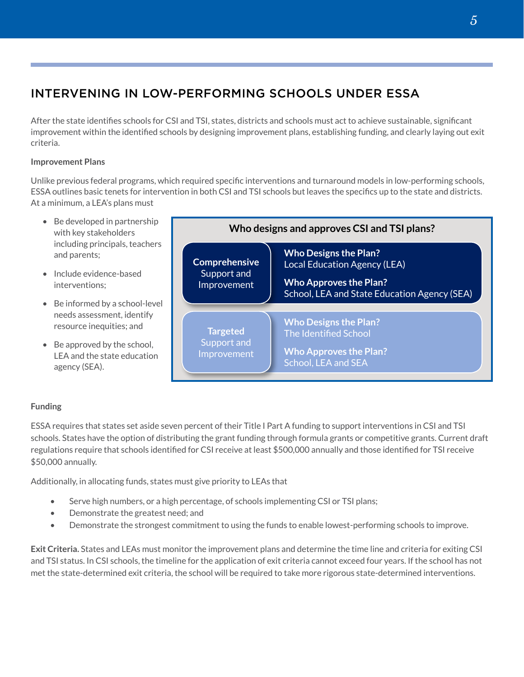## INTERVENING IN LOW-PERFORMING SCHOOLS UNDER ESSA

After the state identifies schools for CSI and TSI, states, districts and schools must act to achieve sustainable, significant improvement within the identified schools by designing improvement plans, establishing funding, and clearly laying out exit criteria.

#### **Improvement Plans**

Unlike previous federal programs, which required specific interventions and turnaround models in low-performing schools, ESSA outlines basic tenets for intervention in both CSI and TSI schools but leaves the specifics up to the state and districts. At a minimum, a LEA's plans must



#### **Funding**

ESSA requires that states set aside seven percent of their Title I Part A funding to support interventions in CSI and TSI schools. States have the option of distributing the grant funding through formula grants or competitive grants. Current draft regulations require that schools identified for CSI receive at least \$500,000 annually and those identified for TSI receive \$50,000 annually.

Additionally, in allocating funds, states must give priority to LEAs that

- Serve high numbers, or a high percentage, of schools implementing CSI or TSI plans;
- Demonstrate the greatest need; and
- Demonstrate the strongest commitment to using the funds to enable lowest-performing schools to improve.

**Exit Criteria.** States and LEAs must monitor the improvement plans and determine the time line and criteria for exiting CSI and TSI status. In CSI schools, the timeline for the application of exit criteria cannot exceed four years. If the school has not met the state-determined exit criteria, the school will be required to take more rigorous state-determined interventions.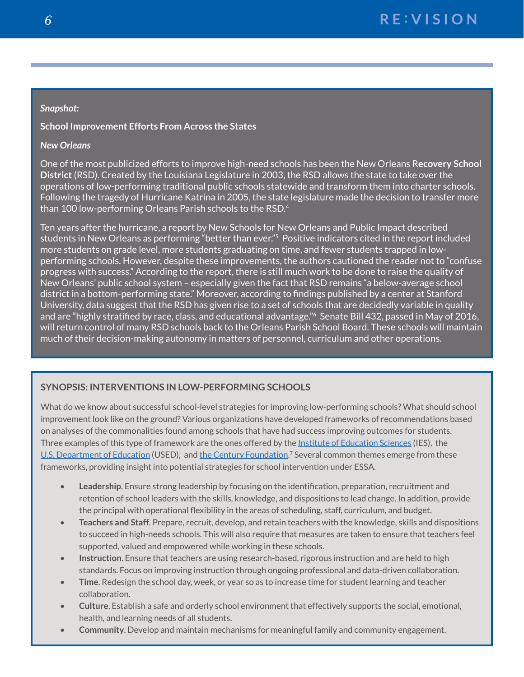#### *Snapshot:*

#### **School Improvement Efforts From Across the States**

#### *New Orleans*

One of the most publicized efforts to improve high-need schools has been the New Orleans R**ecovery School District** (RSD). Created by the Louisiana Legislature in 2003, the RSD allows the state to take over the operations of low-performing traditional public schools statewide and transform them into charter schools. Following the tragedy of Hurricane Katrina in 2005, the state legislature made the decision to transfer more than 100 low-performing Orleans Parish schools to the RSD.4

Ten years after the hurricane, a report by New Schools for New Orleans and Public Impact described students in New Orleans as performing "better than ever."<sup>5</sup> Positive indicators cited in the report included more students on grade level, more students graduating on time, and fewer students trapped in lowperforming schools. However, despite these improvements, the authors cautioned the reader not to "confuse progress with success." According to the report, there is still much work to be done to raise the quality of New Orleans' public school system – especially given the fact that RSD remains "a below-average school district in a bottom-performing state." Moreover, according to findings published by a center at Stanford University, data suggest that the RSD has given rise to a set of schools that are decidedly variable in quality and are "highly stratified by race, class, and educational advantage."6 Senate Bill 432, passed in May of 2016, will return control of many RSD schools back to the Orleans Parish School Board. These schools will maintain much of their decision-making autonomy in matters of personnel, curriculum and other operations.

#### **SYNOPSIS: INTERVENTIONS IN LOW-PERFORMING SCHOOLS**

What do we know about successful school-level strategies for improving low-performing schools? What should school improvement look like on the ground? Various organizations have developed frameworks of recommendations based on analyses of the commonalities found among schools that have had success improving outcomes for students. Three examples of this type of framework are the ones offered by the [Institute of Education Sciences](http://eric.ed.gov/?id=ED501241) (IES), the [U.S. Department of Education](http://www2.ed.gov/policy/elsec/guid/esea-flexibility/index.html) (USED), and [the Century Foundation.](https://tcf.org/assets/downloads/Anrig_LessonsFromSchoolImprovementGrants.pdf)<sup>7</sup> Several common themes emerge from these frameworks, providing insight into potential strategies for school intervention under ESSA.

- **Leadership**. Ensure strong leadership by focusing on the identification, preparation, recruitment and retention of school leaders with the skills, knowledge, and dispositions to lead change. In addition, provide the principal with operational flexibility in the areas of scheduling, staff, curriculum, and budget.
- **Teachers and Staff**. Prepare, recruit, develop, and retain teachers with the knowledge, skills and dispositions to succeed in high-needs schools. This will also require that measures are taken to ensure that teachers feel supported, valued and empowered while working in these schools.
- **Instruction**. Ensure that teachers are using research-based, rigorous instruction and are held to high standards. Focus on improving instruction through ongoing professional and data-driven collaboration.
- **Time**. Redesign the school day, week, or year so as to increase time for student learning and teacher collaboration.
- **Culture**. Establish a safe and orderly school environment that effectively supports the social, emotional, health, and learning needs of all students.
- **Community**. Develop and maintain mechanisms for meaningful family and community engagement.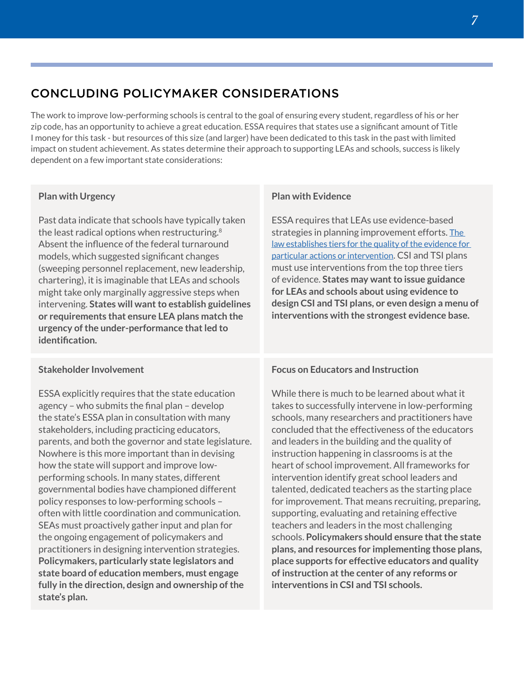## CONCLUDING POLICYMAKER CONSIDERATIONS

The work to improve low-performing schools is central to the goal of ensuring every student, regardless of his or her zip code, has an opportunity to achieve a great education. ESSA requires that states use a significant amount of Title I money for this task - but resources of this size (and larger) have been dedicated to this task in the past with limited impact on student achievement. As states determine their approach to supporting LEAs and schools, success is likely dependent on a few important state considerations:

#### **Plan with Urgency**

Past data indicate that schools have typically taken the least radical options when restructuring.<sup>8</sup> Absent the influence of the federal turnaround models, which suggested significant changes (sweeping personnel replacement, new leadership, chartering), it is imaginable that LEAs and schools might take only marginally aggressive steps when intervening. **States will want to establish guidelines or requirements that ensure LEA plans match the urgency of the under-performance that led to identification.** 

#### **Stakeholder Involvement**

ESSA explicitly requires that the state education agency – who submits the final plan – develop the state's ESSA plan in consultation with many stakeholders, including practicing educators, parents, and both the governor and state legislature. Nowhere is this more important than in devising how the state will support and improve lowperforming schools. In many states, different governmental bodies have championed different policy responses to low-performing schools – often with little coordination and communication. SEAs must proactively gather input and plan for the ongoing engagement of policymakers and practitioners in designing intervention strategies. **Policymakers, particularly state legislators and state board of education members, must engage fully in the direction, design and ownership of the state's plan.**

#### **Plan with Evidence**

ESSA requires that LEAs use evidence-based strategies in planning improvement efforts. The [law establishes tiers for the quality of the evidence for](http://education.jhu.edu/edpolicy/newsroom/CFCEvidence-BasedProvisions%207%2019%2016.pdf)  [particular actions or intervention.](http://education.jhu.edu/edpolicy/newsroom/CFCEvidence-BasedProvisions%207%2019%2016.pdf) CSI and TSI plans must use interventions from the top three tiers of evidence. **States may want to issue guidance for LEAs and schools about using evidence to design CSI and TSI plans, or even design a menu of interventions with the strongest evidence base.** 

#### **Focus on Educators and Instruction**

While there is much to be learned about what it takes to successfully intervene in low-performing schools, many researchers and practitioners have concluded that the effectiveness of the educators and leaders in the building and the quality of instruction happening in classrooms is at the heart of school improvement. All frameworks for intervention identify great school leaders and talented, dedicated teachers as the starting place for improvement. That means recruiting, preparing, supporting, evaluating and retaining effective teachers and leaders in the most challenging schools. **Policymakers should ensure that the state plans, and resources for implementing those plans, place supports for effective educators and quality of instruction at the center of any reforms or interventions in CSI and TSI schools.**